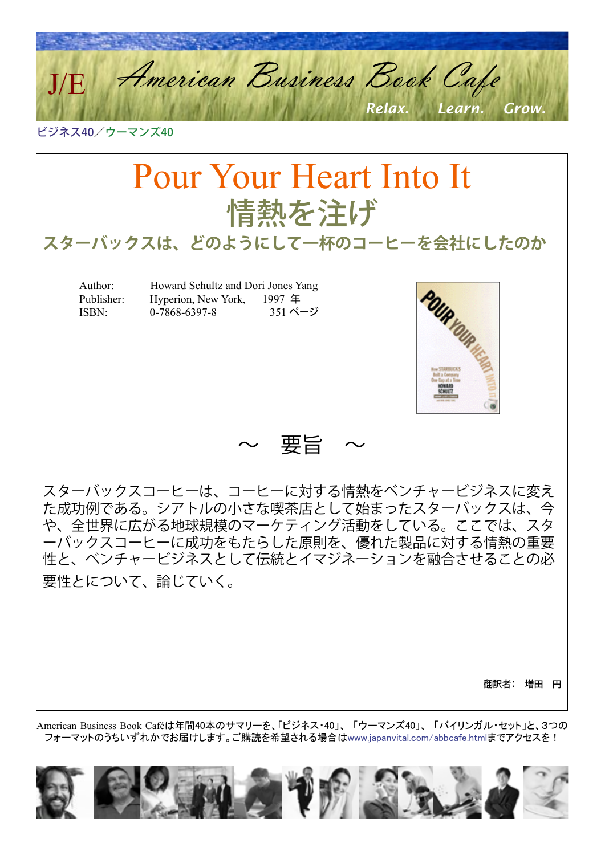American Business Book Cafe *Relax. Learn. Grow.* J/E

ビジネス40/ウーマンズ40

# Pour Your Heart Into It 情熱を注げ

**スターバックスは、どのようにして一杯のコーヒーを会社にしたのか**

 Author: Howard Schultz and Dori Jones Yang Publisher: Hyperion, New York, 1997 年 ISBN: 0-7868-6397-8 351 ページ



~ 要旨 ~

スターバックスコーヒーは、コーヒーに対する情熱をベンチャービジネスに変え た成功例である。シアトルの小さな喫茶店として始まったスターバックスは、今 や、全世界に広がる地球規模のマーケティング活動をしている。ここでは、スタ ーバックスコーヒーに成功をもたらした原則を、優れた製品に対する情熱の重要 性と、ベンチャービジネスとして伝統とイマジネーションを融合させることの必 要性とについて、論じていく。

翻訳者: 増田 円

American Business Book Caféは年間40本のサマリーを、「ビジネス・40」、 「ウーマンズ40」、 「バイリンガル・セット」と、3つの フォーマットのうちいずれかでお届けします。ご購読を希望される場合[はwww.japanvital.com/abbcafe.htmlま](http://www.japanvital.com/abbcafe.html)でアクセスを!

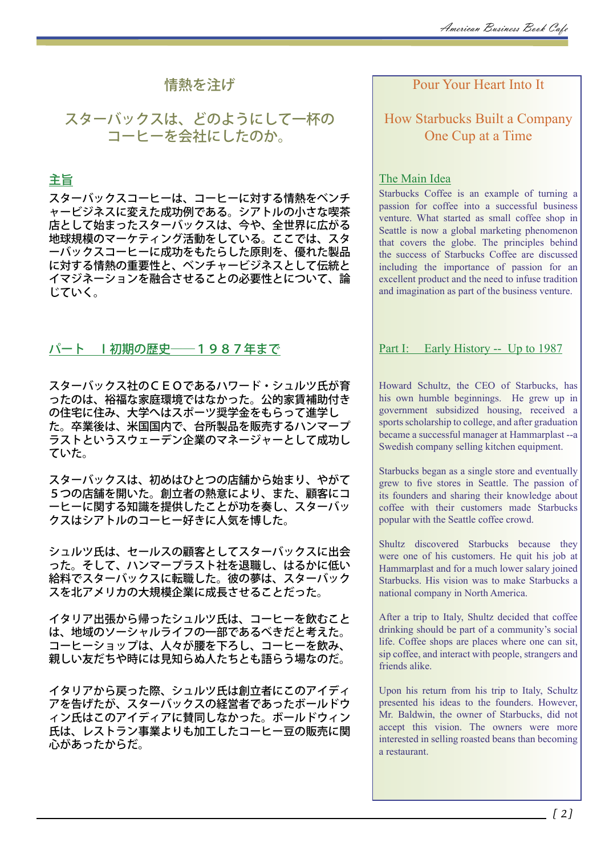# 情熱を注げ

# スターバックスは、どのようにして一杯の コーヒーを会社にしたのか。

# 主旨

スターバックスコーヒーは、コーヒーに対する情熱をベンチ ャービジネスに変えた成功例である。シアトルの小さな喫茶 店として始まったスターバックスは、今や、全世界に広がる 地球規模のマーケティング活動をしている。ここでは、スタ ーバックスコーヒーに成功をもたらした原則を、優れた製品 に対する情熱の重要性と、ベンチャービジネスとして伝統と イマジネーションを融合させることの必要性とについて、論 じていく。

## パート Ⅰ初期の歴史――1987年まで

スターバックス社のCEOであるハワード・シュルツ氏が育 ったのは、裕福な家庭環境ではなかった。公的家賃補助付き の住宅に住み、大学へはスポーツ奨学金をもらって進学し た。卒業後は、米国国内で、台所製品を販売するハンマープ ラストというスウェーデン企業のマネージャーとして成功し ていた。

スターバックスは、初めはひとつの店舗から始まり、やがて 5つの店舗を開いた。創立者の熱意により、また、顧客にコ ーヒーに関する知識を提供したことが功を奏し、スターバッ クスはシアトルのコーヒー好きに人気を博した。

シュルツ氏は、セールスの顧客としてスターバックスに出会 った。そして、ハンマープラスト社を退職し、はるかに低い 給料でスターバックスに転職した。彼の夢は、スターバック スを北アメリカの大規模企業に成長させることだった。

イタリア出張から帰ったシュルツ氏は、コーヒーを飲むこと は、地域のソーシャルライフの一部であるべきだと考えた。 コーヒーショップは、人々が腰を下ろし、コーヒーを飲み、 親しい友だちや時には見知らぬ人たちとも語らう場なのだ。

イタリアから戻った際、シュルツ氏は創立者にこのアイディ アを告げたが、スターバックスの経営者であったボールドウ ィン氏はこのアイディアに賛同しなかった。ボールドウィン 氏は、レストラン事業よりも加工したコーヒー豆の販売に関 心があったからだ。

# Pour Your Heart Into It

# How Starbucks Built a Company One Cup at a Time

## The Main Idea

Starbucks Coffee is an example of turning a passion for coffee into a successful business venture. What started as small coffee shop in Seattle is now a global marketing phenomenon that covers the globe. The principles behind the success of Starbucks Coffee are discussed including the importance of passion for an excellent product and the need to infuse tradition and imagination as part of the business venture.

## Part I: Early History -- Up to 1987

Howard Schultz, the CEO of Starbucks, has his own humble beginnings. He grew up in government subsidized housing, received a sports scholarship to college, and after graduation became a successful manager at Hammarplast --a Swedish company selling kitchen equipment.

Starbucks began as a single store and eventually grew to five stores in Seattle. The passion of its founders and sharing their knowledge about coffee with their customers made Starbucks popular with the Seattle coffee crowd.

Shultz discovered Starbucks because they were one of his customers. He quit his job at Hammarplast and for a much lower salary joined Starbucks. His vision was to make Starbucks a national company in North America.

After a trip to Italy, Shultz decided that coffee drinking should be part of a community's social life. Coffee shops are places where one can sit, sip coffee, and interact with people, strangers and friends alike.

Upon his return from his trip to Italy, Schultz presented his ideas to the founders. However, Mr. Baldwin, the owner of Starbucks, did not accept this vision. The owners were more interested in selling roasted beans than becoming a restaurant.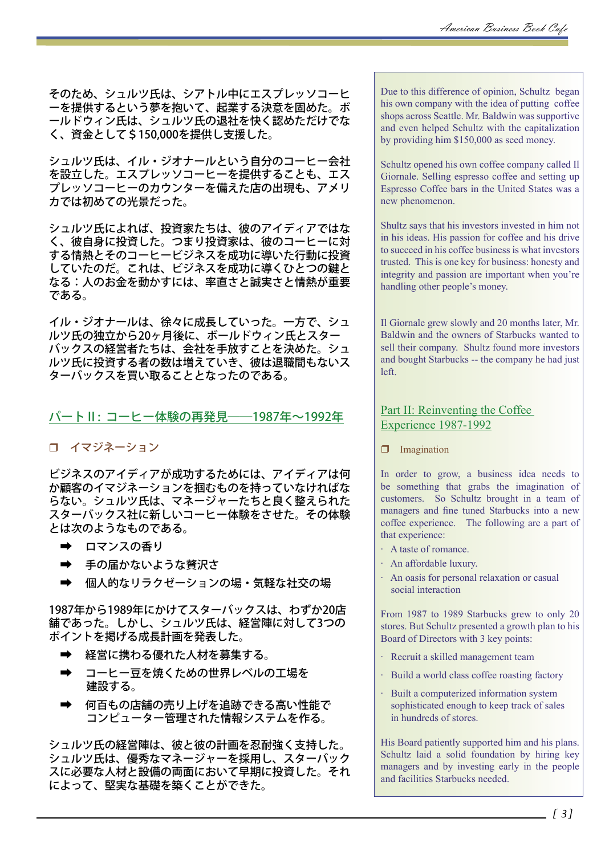そのため、シュルツ氏は、シアトル中にエスプレッソコーヒ ーを提供するという夢を抱いて、起業する決意を固めた。ボ ールドウィン氏は、シュルツ氏の退社を快く認めただけでな く、資金として\$150,000を提供し支援した。

シュルツ氏は、イル・ジオナールという自分のコーヒー会社 を設立した。エスプレッソコーヒーを提供することも、エス プレッソコーヒーのカウンターを備えた店の出現も、アメリ カでは初めての光景だった。

シュルツ氏によれば、投資家たちは、彼のアイディアではな く、彼自身に投資した。つまり投資家は、彼のコーヒーに対 する情熱とそのコーヒービジネスを成功に導いた行動に投資 - ^ 0 m,,,,,ここ〜」<br>していたのだ。これは、ビジネスを成功に導くひとつの鍵と なる:人のお金を動かすには、率直さと誠実さと情熱が重要 である。

イル・ジオナールは、徐々に成長していった。一方で、シュ ルツ氏の独立から20ヶ月後に、ボールドウィン氏とスター バックスの経営者たちは、会社を手放すことを決めた。シュ ルツ氏に投資する者の数は増えていき、彼は退職間もないス ターバックスを買い取ることとなったのである。

## パートⅡ: コーヒー体験の再発見――1987年~1992年

## イマジネーション

ビジネスのアイディアが成功するためには、アイディアは何 か顧客のイマジネーションを掴むものを持っていなければな らない。シュルツ氏は、マネージャーたちと良く整えられた スターバックス社に新しいコーヒー体験をさせた。その体験 とは次のようなものである。

- ロマンスの香り
- ➡ 手の届かないような贅沢さ
- ➡ 個人的なリラクゼーションの場・気軽な社交の場

1987年から1989年にかけてスターバックスは、わずか20店 舗であった。しかし、シュルツ氏は、経営陣に対して3つの ポイントを掲げる成長計画を発表した。

- ➡ 経営に携わる優れた人材を募集する。
- ➡ コーヒー豆を焼くための世界レベルの工場を 建設する。
- ➡ 何百もの店舗の売り上げを追跡できる高い性能で コンピューター管理された情報システムを作る。

シュルツ氏の経営陣は、彼と彼の計画を忍耐強く支持した。 シュルツ氏は、優秀なマネージャーを採用し、スターバック スに必要な人材と設備の両面において早期に投資した。それ によって、堅実な基礎を築くことができた。

Due to this difference of opinion, Schultz began his own company with the idea of putting coffee shops across Seattle. Mr. Baldwin was supportive and even helped Schultz with the capitalization by providing him \$150,000 as seed money.

Schultz opened his own coffee company called Il Giornale. Selling espresso coffee and setting up Espresso Coffee bars in the United States was a new phenomenon.

Shultz says that his investors invested in him not in his ideas. His passion for coffee and his drive to succeed in his coffee business is what investors trusted. This is one key for business: honesty and integrity and passion are important when you're handling other people's money.

Il Giornale grew slowly and 20 months later, Mr. Baldwin and the owners of Starbucks wanted to sell their company. Shultz found more investors and bought Starbucks -- the company he had just left.

## Part II: Reinventing the Coffee Experience 1987-1992

**I** Imagination

In order to grow, a business idea needs to be something that grabs the imagination of customers. So Schultz brought in a team of managers and fine tuned Starbucks into a new coffee experience. The following are a part of that experience:

- · A taste of romance.
- · An affordable luxury.
- · An oasis for personal relaxation or casual social interaction

From 1987 to 1989 Starbucks grew to only 20 stores. But Schultz presented a growth plan to his Board of Directors with 3 key points:

- · Recruit a skilled management team
- · Build a world class coffee roasting factory
- · Built a computerized information system sophisticated enough to keep track of sales in hundreds of stores.

His Board patiently supported him and his plans. Schultz laid a solid foundation by hiring key managers and by investing early in the people and facilities Starbucks needed.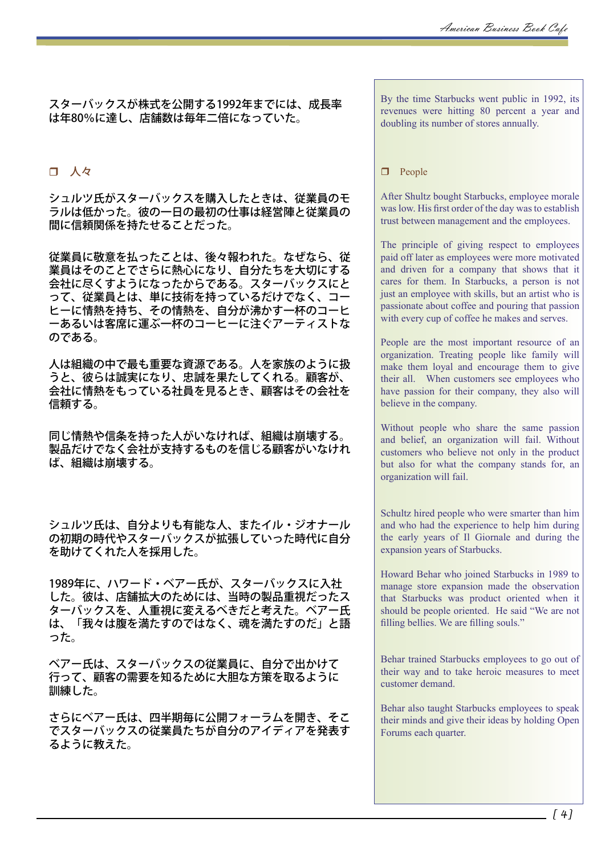スターバックスが株式を公開する1992年までには、成長率 は年80%に達し、店舗数は毎年二倍になっていた。

# 口 人々

シュルツ氏がスターバックスを購入したときは、従業員のモ ラルは低かった。彼の一日の最初の仕事は経営陣と従業員の 間に信頼関係を持たせることだった。

従業員に敬意を払ったことは、後々報われた。なぜなら、従 業員はそのことでさらに熱心になり、自分たちを大切にする 会社に尽くすようになったからである。スターバックスにと って、従業員とは、単に技術を持っているだけでなく、コー ヒーに情熱を持ち、その情熱を、自分が沸かす一杯のコーヒ ーあるいは客席に運ぶ一杯のコーヒーに注ぐアーティストな のである。

人は組織の中で最も重要な資源である。人を家族のように扱 うと、彼らは誠実になり、忠誠を果たしてくれる。顧客が、 会社に情熱をもっている社員を見るとき、顧客はその会社を 信頼する。

同じ情熱や信条を持った人がいなければ、組織は崩壊する。 製品だけでなく会社が支持するものを信じる顧客がいなけれ ば、組織は崩壊する。

シュルツ氏は、自分よりも有能な人、またイル・ジオナール の初期の時代やスターバックスが拡張していった時代に自分 を助けてくれた人を採用した。

1989年に、ハワード・ベアー氏が、スターバックスに入社 した。彼は、店舗拡大のためには、当時の製品重視だったス ターバックスを、人重視に変えるべきだと考えた。ベアー氏 は、「我々は腹を満たすのではなく、魂を満たすのだ」と語 った。

ベアー氏は、スターバックスの従業員に、自分で出かけて 行って、顧客の需要を知るために大胆な方策を取るように 訓練した。

さらにベアー氏は、四半期毎に公開フォーラムを開き、そこ でスターバックスの従業員たちが自分のアイディアを発表す るように教えた。

By the time Starbucks went public in 1992, its revenues were hitting 80 percent a year and doubling its number of stores annually.

#### $\Box$  People

After Shultz bought Starbucks, employee morale was low. His first order of the day was to establish trust between management and the employees.

The principle of giving respect to employees paid off later as employees were more motivated and driven for a company that shows that it cares for them. In Starbucks, a person is not just an employee with skills, but an artist who is passionate about coffee and pouring that passion with every cup of coffee he makes and serves.

People are the most important resource of an organization. Treating people like family will make them loyal and encourage them to give their all. When customers see employees who have passion for their company, they also will believe in the company.

Without people who share the same passion and belief, an organization will fail. Without customers who believe not only in the product but also for what the company stands for, an organization will fail.

Schultz hired people who were smarter than him and who had the experience to help him during the early years of Il Giornale and during the expansion years of Starbucks.

Howard Behar who joined Starbucks in 1989 to manage store expansion made the observation that Starbucks was product oriented when it should be people oriented. He said "We are not filling bellies. We are filling souls."

Behar trained Starbucks employees to go out of their way and to take heroic measures to meet customer demand.

Behar also taught Starbucks employees to speak their minds and give their ideas by holding Open Forums each quarter.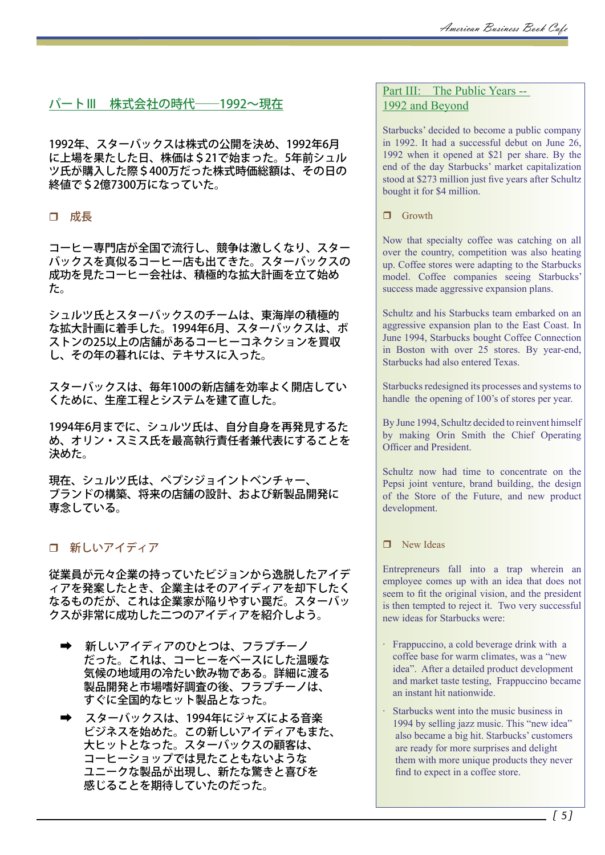# パートⅢ 株式会社の時代–––1992~現在

1992年、スターバックスは株式の公開を決め、1992年6月 に上場を果たした日、株価は\$21で始まった。5年前シュル ツ氏が購入した際\$400万だった株式時価総額は、その日の 終値で\$2億7300万になっていた。

## 成長

コーヒー専門店が全国で流行し、競争は激しくなり、スター バックスを真似るコーヒー店も出てきた。スターバックスの 成功を見たコーヒー会社は、積極的な拡大計画を立て始め た。

シュルツ氏とスターバックスのチームは、東海岸の積極的 な拡大計画に着手した。1994年6月、スターバックスは、ボ ストンの25以上の店舗があるコーヒーコネクションを買収 し、その年の暮れには、テキサスに入った。

スターバックスは、毎年100の新店舗を効率よく開店してい くために、生産工程とシステムを建て直した。

1994年6月までに、シュルツ氏は、自分自身を再発見するた め、オリン・スミス氏を最高執行責任者兼代表にすることを 決めた。

現在、シュルツ氏は、ペプシジョイントベンチャー、 ブランドの構築、将来の店舗の設計、および新製品開発に 専念している。

# 新しいアイディア

従業員が元々企業の持っていたビジョンから逸脱したアイデ ィアを発案したとき、企業主はそのアイディアを却下したく なるものだが、これは企業家が陥りやすい罠だ。スターバッ クスが非常に成功した二つのアイディアを紹介しよう。

- ➡ 新しいアイディアのひとつは、フラプチーノ だった。これは、コーヒーをベースにした温暖な 気候の地域用の冷たい飲み物である。詳細に渡る 製品開発と市場嗜好調査の後、フラプチーノは、 すぐに全国的なヒット製品となった。
- ➡ スターバックスは、1994年にジャズによる音楽 ビジネスを始めた。この新しいアイディアもまた、 大ヒットとなった。スターバックスの顧客は、 コーヒーショップでは見たこともないような ユニークな製品が出現し、新たな驚きと喜びを 感じることを期待していたのだった。

## Part III: The Public Years --1992 and Beyond

Starbucks' decided to become a public company in 1992. It had a successful debut on June 26, 1992 when it opened at \$21 per share. By the end of the day Starbucks' market capitalization stood at \$273 million just five years after Schultz bought it for \$4 million.

 $\Box$  Growth

Now that specialty coffee was catching on all over the country, competition was also heating up. Coffee stores were adapting to the Starbucks model. Coffee companies seeing Starbucks' success made aggressive expansion plans.

Schultz and his Starbucks team embarked on an aggressive expansion plan to the East Coast. In June 1994, Starbucks bought Coffee Connection in Boston with over 25 stores. By year-end, Starbucks had also entered Texas.

Starbucks redesigned its processes and systems to handle the opening of 100's of stores per year.

By June 1994, Schultz decided to reinvent himself by making Orin Smith the Chief Operating Officer and President.

Schultz now had time to concentrate on the Pepsi joint venture, brand building, the design of the Store of the Future, and new product development.

#### $\Box$  New Ideas

Entrepreneurs fall into a trap wherein an employee comes up with an idea that does not seem to fit the original vision, and the president is then tempted to reject it. Two very successful new ideas for Starbucks were:

- · Frappuccino, a cold beverage drink with a coffee base for warm climates, was a "new idea". After a detailed product development and market taste testing, Frappuccino became an instant hit nationwide.
- · Starbucks went into the music business in 1994 by selling jazz music. This "new idea" also became a big hit. Starbucks' customers are ready for more surprises and delight them with more unique products they never find to expect in a coffee store.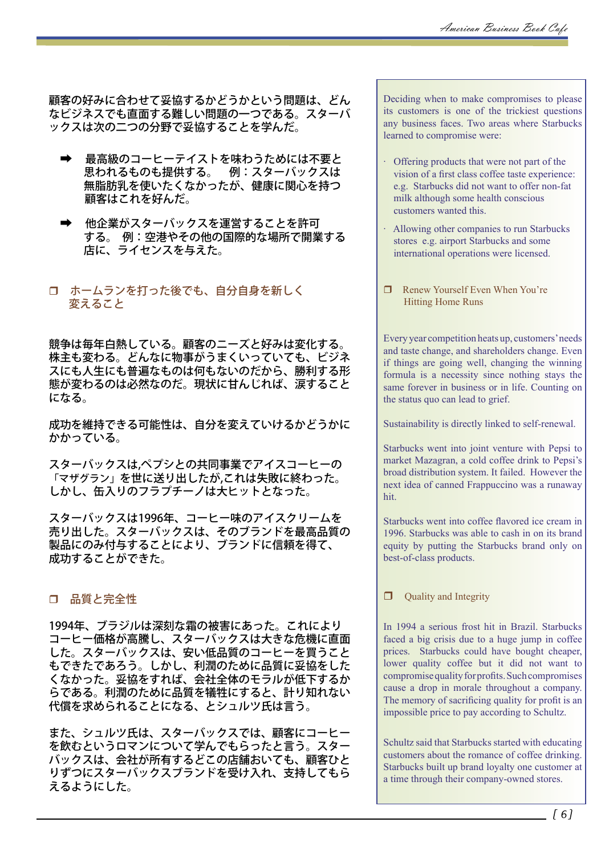顧客の好みに合わせて妥協するかどうかという問題は、どん なビジネスでも直面する難しい問題の一つである。スターバ ックスは次の二つの分野で妥協することを学んだ。

- 最高級のコーヒーテイストを味わうためには不要と 思われるものも提供する。 例:スターバックスは 無脂肪乳を使いたくなかったが、健康に関心を持つ 顧客はこれを好んだ。
- 他企業がスターバックスを運営することを許可 する。 例:空港やその他の国際的な場所で開業する 店に、ライセンスを与えた。

# ホームランを打った後でも、自分自身を新しく 変えること

競争は毎年白熱している。顧客のニーズと好みは変化する。 株主も変わる。どんなに物事がうまくいっていても、ビジネ スにも人生にも普遍なものは何もないのだから、勝利する形 態が変わるのは必然なのだ。現状に甘んじれば、涙すること になる。

成功を維持できる可能性は、自分を変えていけるかどうかに かかっている。

スターバックスは,ペプシとの共同事業でアイスコーヒーの 「マザグラン」を世に送り出したが,これは失敗に終わった。 しかし、缶入りのフラプチーノは大ヒットとなった。

スターバックスは1996年、コーヒー味のアイスクリームを 売り出した。スターバックスは、そのブランドを最高品質の 製品にのみ付与することにより、ブランドに信頼を得て、 成功することができた。

# 品質と完全性

1994年、ブラジルは深刻な霜の被害にあった。これにより コーヒー価格が高騰し、スターバックスは大きな危機に直面 した。スターバックスは、安い低品質のコーヒーを買うこと もできたであろう。しかし、利潤のために品質に妥協をした くなかった。妥協をすれば、会社全体のモラルが低下するか らである。利潤のために品質を犠牲にすると、計り知れない 代償を求められることになる、とシュルツ氏は言う。

また、シュルツ氏は、スターバックスでは、顧客にコーヒー を飲むというロマンについて学んでもらったと言う。スター バックスは、会社が所有するどこの店舗おいても、顧客ひと りずつにスターバックスブランドを受け入れ、支持してもら えるようにした。

Deciding when to make compromises to please its customers is one of the trickiest questions any business faces. Two areas where Starbucks learned to compromise were:

- · Offering products that were not part of the vision of a first class coffee taste experience: e.g. Starbucks did not want to offer non-fat milk although some health conscious customers wanted this.
- Allowing other companies to run Starbucks stores e.g. airport Starbucks and some international operations were licensed.
- Renew Yourself Even When You're Hitting Home Runs

Every year competition heats up, customers' needs and taste change, and shareholders change. Even if things are going well, changing the winning formula is a necessity since nothing stays the same forever in business or in life. Counting on the status quo can lead to grief.

Sustainability is directly linked to self-renewal.

Starbucks went into joint venture with Pepsi to market Mazagran, a cold coffee drink to Pepsi's broad distribution system. It failed. However the next idea of canned Frappuccino was a runaway hit.

Starbucks went into coffee flavored ice cream in 1996. Starbucks was able to cash in on its brand equity by putting the Starbucks brand only on best-of-class products.

 $\Box$  Ouality and Integrity

In 1994 a serious frost hit in Brazil. Starbucks faced a big crisis due to a huge jump in coffee prices. Starbucks could have bought cheaper, lower quality coffee but it did not want to compromise quality for profits. Such compromises cause a drop in morale throughout a company. The memory of sacrificing quality for profit is an impossible price to pay according to Schultz.

Schultz said that Starbucks started with educating customers about the romance of coffee drinking. Starbucks built up brand loyalty one customer at a time through their company-owned stores.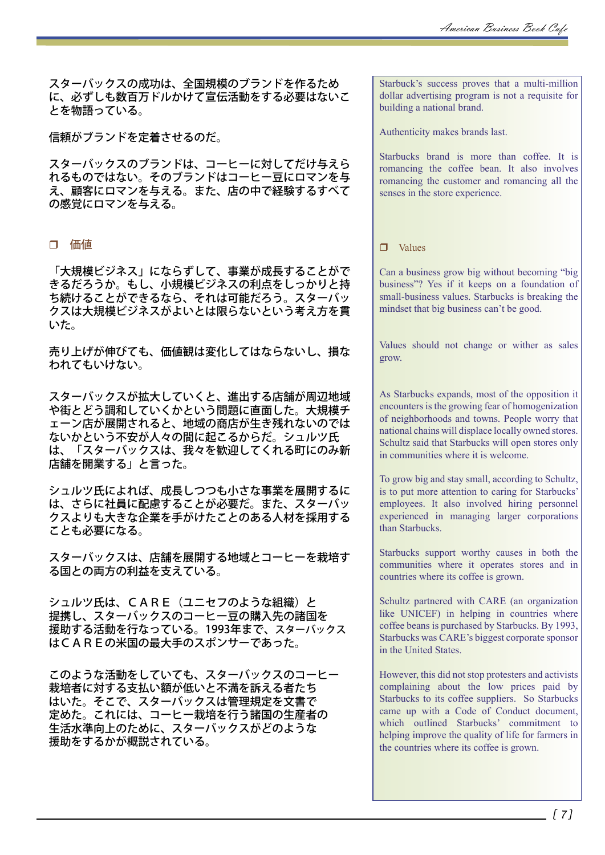スターバックスの成功は、全国規模のブランドを作るため に、必ずしも数百万ドルかけて宣伝活動をする必要はないこ とを物語っている。

信頼がブランドを定着させるのだ。

スターバックスのブランドは、コーヒーに対してだけ与えら れるものではない。そのブランドはコーヒー豆にロマンを与 え、顧客にロマンを与える。また、店の中で経験するすべて の感覚にロマンを与える。

#### 価値

「大規模ビジネス」にならずして、事業が成長することがで きるだろうか。もし、小規模ビジネスの利点をしっかりと持 ち続けることができるなら、それは可能だろう。スターバッ クスは大規模ビジネスがよいとは限らないという考え方を貫 いた。

売り上げが伸びても、価値観は変化してはならないし、損な われてもいけない。

スターバックスが拡大していくと、進出する店舗が周辺地域 や街とどう調和していくかという問題に直面した。大規模チ ェーン店が展開されると、地域の商店が生き残れないのでは ないかという不安が人々の間に起こるからだ。シュルツ氏 は、「スターバックスは、我々を歓迎してくれる町にのみ新 店舗を開業する」と言った。

シュルツ氏によれば、成長しつつも小さな事業を展開するに は、さらに社員に配慮することが必要だ。また、スターバッ クスよりも大きな企業を手がけたことのある人材を採用する ことも必要になる。

スターバックスは、店舗を展開する地域とコーヒーを栽培す る国との両方の利益を支えている。

シュルツ氏は、CARE (ユニセフのような組織)と 提携し、スターバックスのコーヒー豆の購入先の諸国を 援助する活動を行なっている。1993年まで、スターバックス はCAREの米国の最大手のスポンサーであった。

このような活動をしていても、スターバックスのコーヒー 栽培者に対する支払い額が低いと不満を訴える者たち はいた。そこで、スターバックスは管理規定を文書で 定めた。これには、コーヒー栽培を行う諸国の生産者の 生活水準向上のために、スターバックスがどのような 援助をするかが概説されている。

Starbuck's success proves that a multi-million dollar advertising program is not a requisite for building a national brand.

Authenticity makes brands last.

Starbucks brand is more than coffee. It is romancing the coffee bean. It also involves romancing the customer and romancing all the senses in the store experience.

#### $\Box$  Values

Can a business grow big without becoming "big business"? Yes if it keeps on a foundation of small-business values. Starbucks is breaking the mindset that big business can't be good.

Values should not change or wither as sales grow.

As Starbucks expands, most of the opposition it encounters is the growing fear of homogenization of neighborhoods and towns. People worry that national chains will displace locally owned stores. Schultz said that Starbucks will open stores only in communities where it is welcome.

To grow big and stay small, according to Schultz, is to put more attention to caring for Starbucks' employees. It also involved hiring personnel experienced in managing larger corporations than Starbucks.

Starbucks support worthy causes in both the communities where it operates stores and in countries where its coffee is grown.

Schultz partnered with CARE (an organization like UNICEF) in helping in countries where coffee beans is purchased by Starbucks. By 1993, Starbucks was CARE's biggest corporate sponsor in the United States.

However, this did not stop protesters and activists complaining about the low prices paid by Starbucks to its coffee suppliers. So Starbucks came up with a Code of Conduct document, which outlined Starbucks' commitment to helping improve the quality of life for farmers in the countries where its coffee is grown.